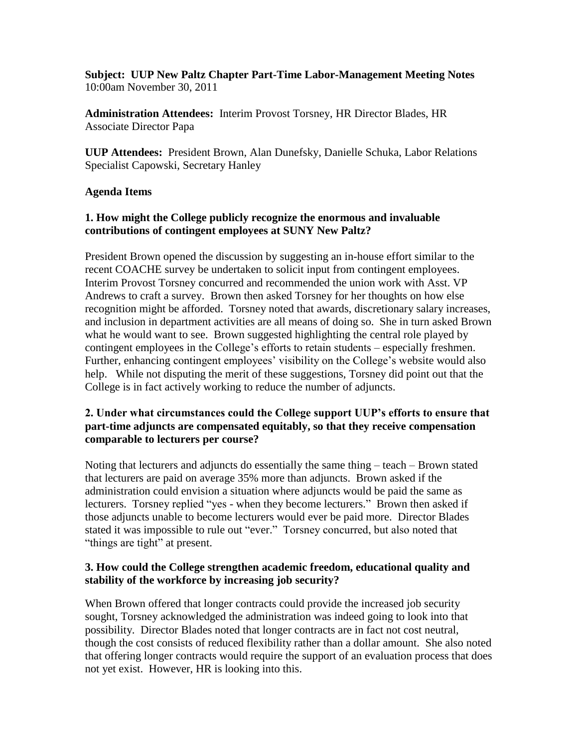**Subject: UUP New Paltz Chapter Part-Time Labor-Management Meeting Notes** 10:00am November 30, 2011

**Administration Attendees:** Interim Provost Torsney, HR Director Blades, HR Associate Director Papa

**UUP Attendees:** President Brown, Alan Dunefsky, Danielle Schuka, Labor Relations Specialist Capowski, Secretary Hanley

### **Agenda Items**

# **1. How might the College publicly recognize the enormous and invaluable contributions of contingent employees at SUNY New Paltz?**

President Brown opened the discussion by suggesting an in-house effort similar to the recent COACHE survey be undertaken to solicit input from contingent employees. Interim Provost Torsney concurred and recommended the union work with Asst. VP Andrews to craft a survey. Brown then asked Torsney for her thoughts on how else recognition might be afforded. Torsney noted that awards, discretionary salary increases, and inclusion in department activities are all means of doing so. She in turn asked Brown what he would want to see. Brown suggested highlighting the central role played by contingent employees in the College's efforts to retain students – especially freshmen. Further, enhancing contingent employees' visibility on the College's website would also help. While not disputing the merit of these suggestions, Torsney did point out that the College is in fact actively working to reduce the number of adjuncts.

### **2. Under what circumstances could the College support UUP's efforts to ensure that part-time adjuncts are compensated equitably, so that they receive compensation comparable to lecturers per course?**

Noting that lecturers and adjuncts do essentially the same thing – teach – Brown stated that lecturers are paid on average 35% more than adjuncts. Brown asked if the administration could envision a situation where adjuncts would be paid the same as lecturers. Torsney replied "yes - when they become lecturers." Brown then asked if those adjuncts unable to become lecturers would ever be paid more. Director Blades stated it was impossible to rule out "ever." Torsney concurred, but also noted that "things are tight" at present.

### **3. How could the College strengthen academic freedom, educational quality and stability of the workforce by increasing job security?**

When Brown offered that longer contracts could provide the increased job security sought, Torsney acknowledged the administration was indeed going to look into that possibility. Director Blades noted that longer contracts are in fact not cost neutral, though the cost consists of reduced flexibility rather than a dollar amount. She also noted that offering longer contracts would require the support of an evaluation process that does not yet exist. However, HR is looking into this.